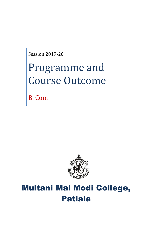Session 2019-20

# Programme and Course Outcome

B. Com



# Multani Mal Modi College, Patiala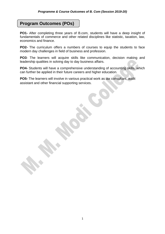## **Program Outcomes (POs)**

**PO1-** After completing three years of B.com, students will have a deep insight of fundamentals of commerce and other related disciplines like statistic, taxation, law, economics and finance.

**PO2-** The curriculum offers a numbers of courses to equip the students to face modern day challenges in field of business and profession.

**PO3**- The learners will acquire skills like communication, decision making and leadership qualities in solving day to day business affairs.

**PO4-** Students will have a comprehensive understanding of accounting skills, which can further be applied in their future careers and higher education.

**PO5-** The learners will involve in various practical work as tax consultant, audit assistant and other financial supporting services.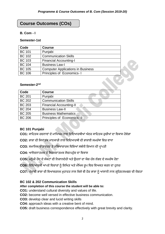## **Course Outcomes (COs)**

#### **B. Com - I**

#### **Semester-1st**

| Code          | <b>Course</b>                            |  |
|---------------|------------------------------------------|--|
| <b>BC 101</b> | Punjabi                                  |  |
| <b>BC 102</b> | <b>Communication Skills</b>              |  |
| <b>BC 103</b> | <b>Financial Accounting-I</b>            |  |
| <b>BC 104</b> | <b>Business Law-I</b>                    |  |
| <b>BC 105</b> | <b>Computer Applications in Business</b> |  |
| <b>BC 106</b> | Principles of Economics-1                |  |

#### Semester-2<sup>nd</sup>

| Code          | <b>Course</b>                  |
|---------------|--------------------------------|
| <b>BC 201</b> | Punjabi                        |
| <b>BC 202</b> | <b>Communication Skills</b>    |
| <b>BC 203</b> | <b>Financial Accounting-II</b> |
| <b>BC 204</b> | <b>Business Law-II</b>         |
| <b>BC 205</b> | <b>Business Mathematics</b>    |
| <b>BC 206</b> | Principles of Economics-II     |

#### **BC 101 Punjabi**

**CO1:** ਸਾਹਿਤਕ ਰਚਨਾਵਾਂ ਦੇਮਾਹਿਅਮ ਨਾਲ ਹਵਹਦਆਰਥੀਆਂ ਅੰ ਦਰ ਸਾਹਿਤਕ ਰੁਚੀਆਂ ਦਾ ਹਵਕਾਸ ਿੋਵੇਗਾ

- CO2: ਭਾਸ਼ਾ ਦੀ ਸਿਧਾਂਤਕ ਜਾਣਕਾਰੀ ਨਾਲ ਵਿਦਿਆਰਥੀ ਦੀ ਭਾਸ਼ਾਈ ਸਮਰੱਥਾ ਵਿਚ ਵਾਧਾ
- CO3: ਸਮਾਜਿਕ ਵਾਤਾਵਰਣ ਤੇ ਸਭਿਆਚਾਰਕ ਵਿਸ਼ਿਆਂ ਸਬੰਧੀ ਗਿਆਨ ਦੀ ਪ੍ਰਾਪਤੀ
- CO4: ਆਲੋਚਨਾਤਮਕ ਤੇ ਸਿਰਜਣਾਤਮਕ ਸੋਚ/ਪਹੰਚ ਦਾ ਵਿਕਾਸ
- CO5: ਮਨੁੱਖੀ ਹੋਂਦ ਦੇ ਸੰਕਟਾਂ ਦੀ ਨਿਸ਼ਾਨਦੇਹੀ ਅਤੇ ਉਹਨਾਂ ਦਾ ਯੋਗ ਹੱਲ ਲੱਭਣ ਦੇ ਸਮਰੱਥ ਹੋਣਾ
- CO6: ਵਿਦਿਆਰਥੀ ਆਪਣੇ ਵਿਚਾਰਾਂ ਨੂੰ ਲਿਖਿਤ ਅਤੇ ਮੌਖਿਕ ਰੂਪ ਵਿਚ ਵਿਅਕਤ ਕਰਨ ਦਾ ਹੁਨਰ
- **CO7:** ਪ੍ੰ ਜਾਬੀ ਭਾਸ਼ਾ ਦੀ ਹਵਆਕਰਨਕ ਮੁਿਾਰਤ ਨਾਲ ਹਕਸੇਵੀ ਿੋਰ ਭਾਸ਼ਾ ਨ ੰ ਆਸਾਨੀ ਨਾਲ ਗਰਹਿਣ/ਸਮਝਣ ਦੀ ਯੋਗਤਾ

#### **BC 102 & 202 Communication Skills**

#### **After completion of this course the student will be able to:**

**CO1:** understand cultural diversity and values of life.

- **CO2:** become well versed in effective business communication.
- **CO3:** develop clear and lucid writing skills
- **CO4:** approach ideas with a creative bent of mind.
- **CO5:** draft business correspondence effectively with great brevity and clarity.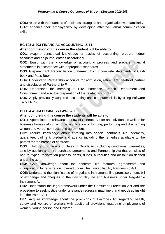**CO6:** relate with the nuances of business strategies and organisation with familiarity. **CO7:** enhance their employability by developing effective verbal communication skills

#### **BC 103 & 203 FINANCIAL ACCOUNTING-I& 11**

#### **After completion of this course the student will be able to:**

**CO1**: Acquire conceptual knowledge of basics of accounting, prepare ledger accounts and do journal entries accordingly.

**CO2**: Equip with the knowledge of accounting process and prepare financial statements in accordance with appropriate standards.

**CO3**: Prepare Bank Reconciliation Statement from incomplete statements of Cash book and Pass Book.

**CO4**: Understand Partnership accounts for admission, retirement, death of partner and dissolution of Partnership Firm.

**CO5**: Understand the meaning of Hire- Purchase, Branch, Department and Consignment and also the preparation of the related accounts.

**CO6**: Apply previously acquired accounting and computer skills by using software Tally.ERP.9.0

#### **BC 104 & 204 BUSINESS LAW-I & II**

#### **After completing this course the students will be able to:**

**CO1:** Appreciate the relevance of Law of Contract Act for an individual as well as for business houses along with the significance of forming, performing and discharging written and verbal contracts and agreements.

**C02:** Acquire knowledge about entering into special contracts like indemnity, guarantee, bailment, pledge and agency including the remedies available to the parties for the breach of contracts.

**CO3:** Hold grip on basics of Sales of Goods Act including conditions, warranties, sale by auction and hire purchase agreements and Partnership Act that consists of nature, types, registration process, rights, duties, authorities and dissolution defined under the act.

**C04:** Gain knowledge about the contents like features, agreements and incorporation by registration covered under The Limited liability Partnership Act.

**CO5:** Understand the significance of negotiable instruments like promissory note, bill of exchange and cheques in the day to day life and business under Negotiable Instrument Act.

**C06:** Understand the legal framework under the Consumer Protection Act and the procedure to seek justice under grievance redressal machinery and get deep insight into the Patent Act

**C07:** Acquire knowledge about the provisions of Factories Act regarding health, safety and welfare of workers with additional provisions regarding employment of women, young person and Children.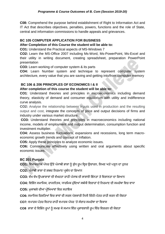**C08:** Comprehend the purpose behind establishment of Right to Information Act and IT Act that describes objectives, penalties, powers, functions and the role of State, central and information commissions to handle appeals and grievances.

#### **BC 105 COMPUTER APPLICATION FOR BUSINESS**

#### **After Completion of this Course the student will be able to:**

**CO1:** Understand the Practical aspects of MS-Windows 7

**CO2:** Learn the MS-Office 2007 including Ms-Word, Ms-PowerPoint, Ms-Excel and their utility in writing document, creating spreadsheet, preparation PowerPoint presentation

**CO3:** Learn working of computer system & its parts

**CO4:** Learn Number system and technique to represent computer system architecture, every value that you are saving and getting into/from computer memory

#### **BC 106 & 206 PRINCIPLES OF ECONOMICS I & II**

#### **After completion of this course the student will be able to:**

**CO1**: Understand theories and principles in microeconomics including demand theory, elasticity of demand and consumer equilibrium with utility and indifference curve analysis.

**CO2:** Analyse the relationship between inputs used in production and the resulting output and cost, integrate the concepts of price and output decisions of firms and industry under various market structure.

**CO3:** Understand theories and principles in macroeconomics including national income, models of employment and output determination, consumption function and investment multiplier.

**CO4:** Assess business fluctuations, expansions and recessions, long term macroeconomic growth trends and concept of Inflation.

**CO5:** Apply these principles to analyze economic issues.

**CO6:** Communicate effectively using written and oral arguments about specific economic issues.

#### **BC 201 Punjabi**

CO1: ਵਿਆਕਰਨਕ ਪੱਧਰ ਉੱਤੇ ਪੰਜਾਬੀ ਭਾਸ਼ਾ ਨੂੰ ਸ਼ੁੱਧ ਰੂਪ ਵਿਚ ਉਚਾਰਨ, ਲਿਖਣ ਅਤੇ ਪੜ੍ਹਨ ਦਾ ਹੁਨਰ

CO2: ਪੰਜਾਬੀ ਭਾਸ਼ਾ ਦੇ ਸ਼ਬਦ ਨਿਰਮਾਣ ਪ੍ਰਬੰਧ ਦਾ ਗਿਆਨ

CO3: ਵੱਖ ਵੱਖ ਉਪਭਾਸ਼ਾਵਾਂ ਦੀ ਵੱਖਰਤਾ ਰਾਹੀਂ ਪੰਜਾਬ ਦੀ ਭਾਸ਼ਾਈ ਭਿੰਨਤਾ ਤੇ ਵਿਸ਼ਾਲਤਾ ਦਾ ਗਿਆਨ

CO4: ਵਿਭਿੰਨ ਸਮਾਜਿਕ, ਰਾਜਨੀਤਕ, ਧਾਰਮਿਕ ਮੁੱਦਿਆਂ ਸਬੰਧੀ ਵਿਚਾਰਾਂ ਦੇ ਨਿਰਮਾਣ ਦੀ ਸਮਰੱਥਾ ਵਿਚ ਵਾਧਾ

**CO5:** ਮੁਕਾਬਲੇਦੀਆਂ ਪ੍ਰੀਹਖਆਵਾਂ ਹਵਚ ਸਿਾਇਕ

**CO6:** ਸਮਾਹਜਕ ਹਰਸ਼ਹਤਆਂ ਹਵਚ ਭਾਵਾਂ ਦੀ ਸਰਲ ਪ੍ੇਸ਼ਕਾਰੀ ਹਨਜੀ ਹਚੱ ਠੀ-ਪ੍ੱ ਤਰ ਰਾਿੀਂ ਕਰਨ ਦੀ ਯੋਗਤਾ

CO7: ਵਪਾਰਕ ਪੱਤਰ ਵਿਹਾਰ ਰਾਹੀਂ ਵਪਾਰਕ ਪੱਧਰ 'ਤੇ ਸੰਚਾਰ ਸਮਰੱਥਾ ਦਾ ਵਿਕਾਸ

CO8 ਭਾਸ਼ਾ ਦੇ ਵਿਭਿੰਨ ਰੂਪਾਂ ਨੂੰ ਸਮਝ ਕੇ ਸਮਾਜ ਵਿੱਚ ਪ੍ਰਭਾਵਸ਼ਾਲੀ ਰੂਪ ਵਿੱਚ ਵਿਚਰਨ ਦੀ ਯੋਗਤਾ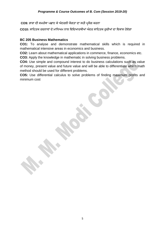**CO9:** ਭਾਸ਼ਾ ਦੀ ਸਮਰੱਥਾ ਪ੍ਛਾਣ ਕੇਅੰ ਦਰਲੀ ਯੋਗਤਾ ਦਾ ਸਿੀ ਪ੍ਰਯੋਗ ਕਰਨਾ

**CO10:** ਸਾਹਿਤਕ ਰਚਨਾਵਾਂ ਦੇਮਾਹਿਅਮ ਨਾਲ ਹਵਹਦਆਰਥੀਆਂ ਅੰ ਦਰ ਸਾਹਿਤਕ ਰੁਚੀਆਂ ਦਾ ਹਵਕਾਸ ਿੋਵੇਗਾ

#### **BC 205 Business Mathematics**

**CO1:** To analyse and demonstrate mathematical skills which is required in mathematical intensive areas in economics and business.

**CO2:** Learn about mathematical applications in commerce, finance, economics etc.

**CO3:** Apply the knowledge in mathematic in solving business problems.

**CO4:** Use simple and compound interest to do business calculations such as value of money, present value and future value and will be able to differentiate which math method should be used for different problems.

**CO5:** Use differential calculus to solve problems of finding maximum profits and minimum cost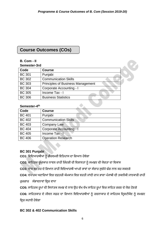# **Course Outcomes (COs)**

#### **B. Com - II**

#### **Semester-3rd**

| 9999.9. 9. 9  |                                          |  |
|---------------|------------------------------------------|--|
| Code          | <b>Course</b>                            |  |
| <b>BC 301</b> | Punjabi                                  |  |
| <b>BC 302</b> | <b>Communication Skills</b>              |  |
| <b>BC 303</b> | <b>Principles of Business Management</b> |  |
| <b>BC 304</b> | Corporate Accounting - I                 |  |
| <b>BC 305</b> | Income Tax - I                           |  |
| <b>BC 306</b> | <b>Business Statistics</b>               |  |

#### **Semester-4 th**

| Semester-4th  |                             |  |
|---------------|-----------------------------|--|
| Code          | <b>Course</b>               |  |
| <b>BC 401</b> | Punjabi                     |  |
| <b>BC 402</b> | <b>Communication Skills</b> |  |
| <b>BC 403</b> | <b>Company Law</b>          |  |
| <b>BC 404</b> | Corporate Accounting - I    |  |
| <b>BC 405</b> | Income Tax - I              |  |
| <b>BC 406</b> | <b>Operation Research</b>   |  |

#### **BC 301 Punjabi**

**CO1:** ਹਵਹਦਆਰਥੀਆਂ ਨ ੰ ਗੌਰਵਮਈ ਇਹਤਿਾਸ ਦਾ ਹਗਆਨ ਿੋਵੇਗਾ

CO2: ਸਾਹਿਤਕ ਰੁਪਾਕਾਰ ਨਾਵਲ ਰਾਹੀਂ ਜ਼ਿੰਦਗੀ ਦੀ ਵਿਸ਼ਾਲਤਾ ਨੂੰ ਸਮਝਣ ਦੀ ਯੋਗਤਾ ਦਾ ਵਿਕਾਸ

CO3: ਵਾਕ ਬਣਤਰ ਦੇ ਗਿਆਨ ਰਾਹੀਂ ਵਿਦਿਆਰਥੀ ਆਪਣੇ ਭਾਵਾਂ ਦਾ ਸੰਚਾਰ ਸਚੱਜੇ ਢੰਗ ਨਾਲ ਕਰ ਸਕਣਗੇ

**CO4:** ਵਪ੍ਾਰਕ ਅਦਾਹਰਆਂ ਹਵਚ ਦਫ਼ਤਰੀ ਕੰ ਮਕਾਜ ਹਵਚ ਵਰਤੀ ਜਾਂਦੀ ਰਾਜ ਭਾਸ਼ਾ ਪ੍ੰ ਜਾਬੀ ਦੀ ਤਕਨੀਕੀ ਜਾਣਕਾਰੀ ਰਾਿੀਂ

ਰੁਜ਼ਗਾਰ ਸੰਭਾਵਨਾਵਾਂ ਵ੍ਵਿਚ ਵਾਧਾ

CO5: ਸਾਹਿਤਕ ਰੁਪਾਂ ਦੀ ਸਿਧਾਂਤਕ ਸਮਝ ਦੇ ਨਾਲ ਉਹ ਵੱਖ ਵੱਖ ਸਾਹਿਤ ਰੁਪਾਂ ਵਿਚ ਸਾਹਿਤ ਰਚਣ ਦੇ ਯੋਗ ਹੋਣਗੇ

CO6: ਸਾਹਿਤਕਾਰ ਦੇ ਜੀਵਨ ਸਫ਼ਰ ਦਾ ਗਿਆਨ ਵਿਦਿਆਰਥੀਆਂ ਨੂੰ ਰਚਨਾਕਾਰ ਦੇ ਸਾਹਿਤਕ ਦ੍ਰਿਸ਼ਟੀਕੋਣ ਨੂੰ ਸਮਝਣ

ਵਿਚ ਸਹਾਈ ਹੋਵੇਗਾ

#### **BC 302 & 402 Communication Skills**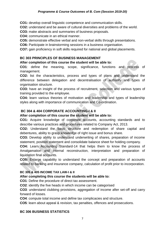#### *Programme & Course Outcomes of B. Com (Session 2019-20)*

**CO1:** develop overall linguistic competence and communication skills.

**CO2:** understand and be aware of cultural diversities and problems of the world.

**CO3:** make abstracts and summaries of business proposals.

**CO4:** communicate in an ethical manner.

**CO5:** demonstrate effective verbal and non-verbal skills through presentations.

**CO6:** Participate in brainstorming sessions in a business organisation.

**CO7:** gain proficiency in soft skills required for national and global placements.

#### **BC 303 PRINCIPLES OF BUSINESS MANAGEMENT**

#### **After completion of this course the student will be able to:**

**CO1**: define the meaning, scope, significance, functions and process of management.

**CO2:** list the characteristics, process and types of plans and understand the difference between delegation and decentralisation of authority and types of organisation structure.

**CO3:** have an insight of the process of recruitment, selection and various types of training provided to the employee.

**CO4:** learn various theories of motivation and leadership and types of leadership styles along with importance of communication and Co-ordination.

#### **BC 304 & 404 CORPORATE ACCOUNTING-I & II**

#### **After completion of this course the student will be able to:**

**CO1:** Acquire knowledge of corporate accounts, accounting standards and to describe various practices and procedures related to Company Act, 2013.

**CO2:** Understand the basic structure and redemption of share capital and debentures, ability to grasp knowledge of right issue and bonus share.

**CO3:** Develop ability to understand underwriting of shares, preparation of income statement, position statement and consolidate balance sheet for holding company.

**CO4:** Learn Accounting Standard-14 that helps them to know the process of Amalgamation and Internal reconstruction, interpretation and preparation of liquidation final accounts.

**CO5:** Enlarge capability to understand the concept and preparation of accounts related to banking and insurance company, calculation of profit prior to incorporation.

#### **BC 305 & 405 INCOME TAX LAW-I & II**

#### **After completing this course the students will be able to:**

**CO1**: Define the procedure of direct tax assessment.

**CO2**: identify the five heads in which income can be categorised

**CO3**: understand clubbing provisions, aggregation of income after set-off and carry forward of losses.

**CO4**: compute total income and define tax complicacies and structure.

**CO5**: learn about appeal & revision, tax penalties, offences and prosecutions.

#### **BC 306 BUSINESS STATISTICS**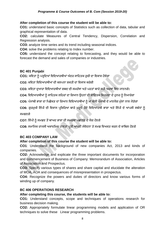#### *Programme & Course Outcomes of B. Com (Session 2019-20)*

#### **After completion of this course the student will be able to:**

**CO1:** understand basic concepts of Statistics such as collection of data, tabular and graphical representation of data.

**CO2:** calculate Measures of Central Tendency, Dispersion, Correlation and Regression analysis.

**CO3:** analyze time series and its trend including seasonal indices.

**CO4:** solve the problems relating to Index number.

**CO5:** understand the concept relating to forecasting, and they would be able to forecast the demand and sales of companies or industries.

#### **BC 401 Punjabi**

**CO1:** ਕਹਵਤਾ ਨ ੰ ਪ੍ੜ੍ਹਹਦਆਂ ਹਵਹਦਆਰਥੀਆਂ ਅੰ ਦਰ ਸਾਹਿਤਕ ਰੁਚੀ ਦਾ ਹਵਕਾਸ ਿੋਵੇਗਾ

**CO2:** ਕਹਵਤਾ ਹਵਹਦਆਰਥੀਆਂ ਦੀ ਕਲਪ੍ਨਾ ਸ਼ਕਤੀ ਦਾ ਹਵਕਾਸ ਕਰੇਗੀ

**CO3:** ਕਹਵਤਾ ਦੁਆਰਾ ਹਵਹਦਆਰਥੀਆਂ ਸ਼ਬਦ ਦੀ ਸਮਰੱਥਾ ਅਤੇਪ੍ਰਤਾਂ ਬਾਰੇਸਿੀ ਅਰਥਾਂ ਹਵਚ ਜਾਣਨਗੇ।

CO4: ਵਿਦਿਆਰਥੀਆਂ ਨੰ ਸਾਹਿਤਕ ਲਹਿਰਾਂ ਦਾ ਗਿਆਨ ਉਹਨਾਂ ਦੀ ਸਾਹਿਤਕ ਸਿਰਜਣਾ ਦੇ ਹਨਰ ਨੰ ਨਿਖਾਰੇਗਾ

CO5: ਪੰਜਾਬੀ ਭਾਸ਼ਾ ਦਾ ਪਿਛੋਕੜ ਦਾ ਗਿਆਨ ਵਿਦਿਆਰਥੀਆਂ ਨੂੰ ਮਾਂ ਬੋਲੀ ਪੰਜਾਬੀ ਦੇ ਮਾਣਯੋਗ ਮੁੱਲਾਂ ਨਾਲ ਜੋੜੇਗਾ

CO6: ਗੁਰਮੁਖੀ ਲਿੱਪੀ ਦੀ ਵਿਕਾਸ ਪ੍ਰਕਿਰਿਆ ਬਾਰੇ ਪੜ੍ਹਦੇ ਹੋਏ ਵਿਦਿਆਰਥੀ ਭਾਸ਼ਾ ਅਤੇ ਲਿੱਪੀ ਦੇ ਆਪਸੀ ਸਬੰਧਾਂ ਨੂੰ

ਸਮਝਣਗੇ

**CO7:** ਹਲੱ ਪ੍ੀ ਨ ੰ ਸਮਝਣ ਤੋਂਬਾਅਦ ਭਾਸ਼ਾ ਦੀ ਸਮਰਥਾ ਪ੍ਛਾਨਣ ਦੇਯੋਗ ਿੋਣਗੇ

CO8: ਸਮਾਜਿਕ ਰਾਜਸੀ ਅਕਾਦਮਿਕ ਹਾਲਤਾਂ ਪ੍ਰਤੀ ਆਪਣੀ ਸੰਵੇਦਨਾ ਤੇ ਸਮਝ ਵਿਅਕਤ ਕਰਨ ਦੇ ਕਾਬਿਲ ਹੋਣਗੇ

#### **BC 403 COMPANY LAW**

#### **After completion of this course the student will be able to:**

**CO1**: Understand the background of new companies Act, 2013 and kinds of companies.

**CO2:** Acknowledge and explicate the three important documents for incorporation and commencement of Business of Company: Memorandum of Association, Articles of Association and Prospectus.

**CO3:** Specify various types of shares and share capital and elucidate the alteration of MOA, AOA and consequences of misrepresentation in prospectus.

**CO4:** Recognize the powers and duties of directors and know various forms of winding up of company.

#### **BC 406 OPERATIONS RESEARCH**

#### **After completing this course, the students will be able to:**

**CO1:** Understand concepts, scope and techniques of operations research for business decision making.

**CO2:** Appropriately formulate linear programming models and application of OR techniques to solve these Linear programming problems.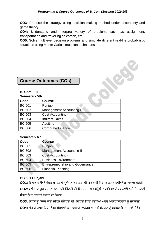**CO3**: Propose the strategy using decision making method under uncertainty and game theory.

**CO4:** Understand and interpret variety of problems such as assignment, transportation and travelling salesman, etc.

**CO5:** Solve multilevel decision problems and simulate different real-life probabilistic situations using Monte Carlo simulation techniques.

# **Course Outcomes (COs)**

#### **B. Com - III**

#### **Semester- 5th**

| Code          | <b>Course</b>                  |  |
|---------------|--------------------------------|--|
| <b>BC 501</b> | Punjabi                        |  |
| <b>BC 502</b> | <b>Management Accounting-I</b> |  |
| <b>BC 503</b> | <b>Cost Accounting-I</b>       |  |
| <b>BC 504</b> | <b>Indirect Taxes</b>          |  |
| <b>BC 505</b> | Auditing                       |  |
| <b>BC 506</b> | <b>Corporate Finance</b>       |  |

#### **Semester- 6 th**

| Code          | <b>Course</b>                          |
|---------------|----------------------------------------|
| <b>BC 601</b> | Punjabi                                |
| <b>BC 602</b> | <b>Management Accounting-II</b>        |
| <b>BC 603</b> | <b>Cost Accounting-II</b>              |
| <b>BC 604</b> | <b>Business Environment</b>            |
| <b>BC 605</b> | <b>Entrepreneurship and Governance</b> |
| <b>BC 606</b> | <b>Financial Planning</b>              |

#### **BC 501 Punjabi**

CO1: ਵਿਦਿਆਰਥੀਆਂ ਅੰਦਰ ਸਾਹਿਤ ਦੇ ਪ੍ਰਯੋਜਨ ਅਤੇ ਤੱਤਾਂ ਦੀ ਜਾਣਕਾਰੀ ਸਿਰਜਣਾਤਮਕ ਰੁਚੀਆਂ ਦਾ ਵਿਕਾਸ ਕਰੇਗੀ

CO2: ਸਾਹਿਤਕ ਰੁਪਾਕਾਰ ਨਾਵਲ ਰਾਹੀਂ ਜ਼ਿੰਦਗੀ ਦੀ ਵਿਸ਼ਾਲਤਾ ਅਤੇ ਮਨੁੱਖੀ ਅਸਤਿਤਵ ਦੇ ਸਮਕਾਲੀ ਅਤੇ ਚਿਰਕਾਲੀ

ਸੰਕਟਾਂ ਨੂੰ ਸਮਝਣ ਦੀ ਯੋਗਤਾ ਦਾ ਵਿਕਾਸ

CO3: ਨਾਵਲ ਰੂਪਾਕਾਰ ਰਾਹੀੰ ਜੀਵਨ ਸਰੋਕਾਰਾਂ ਦੀ ਪੇਸ਼ਕਾਰੀ ਵਿਦਿਆਰਥੀਆਂ ਅੰਦਰ ਮਾਨਵੀ ਸੰਵੇਦਨਾ ਨੂੰ ਜਗਾਏਗੀ

CO4: ਪੰਜਾਬੀ ਭਾਸ਼ਾ ਦੇ ਸਿਧਾਂਤਕ ਸੰਕਲਪਾਂ ਦੀ ਜਾਣਕਾਰੀ ਵਾਹਰਕ ਭਾਸ਼ਾ ਦੇ ਸੰਗਠਨ ਨੂੰ ਸਮਝਣ ਵਿਚ ਸਹਾਈ ਹੋਵੇਗਾ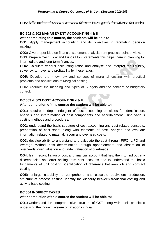**CO5:** ਹਵਹਭੰ ਨ ਸਮਾਹਜਕ ਸਹਭਆਚਰਕ ਤੇਵਾਤਾਵਰਨਕ ਹਵਹਸ਼ਆਂ ਦਾ ਹਗਆਨ ਮੁਕਾਬਲੇਦੀਆਂ ਪ੍ਰੀਹਖਆਵਾਂ ਹਵਚ ਸਿਾਇਕ

#### **BC 502 & 602 MANAGEMENT ACCOUNTING-I & II**

#### **After completing this course, the students will be able to***:*

**CO1:** Apply management accounting and its objectives in facilitating decision making.

**CO2:** Give proper idea on financial statement analysis from practical point of view.

**CO3:** Prepare Cash Flow and Funds Flow statements this helps them in planning for intermediate and long-term finances.

**CO4:** Calculate various accounting ratios and analyse and interpret the liquidity, solvency, turnover and profitability by these ratios.

**CO5:** Develop the know-how and concept of marginal costing with practical problems and applications of Marginal costing.

**CO6:** Acquaint the meaning and types of Budgets and the concept of budgetary control.

#### **BC 503 & 603 COST ACCOUNTING-I & II**

#### **After completion of this course the student will be able to:**

**CO1:** acquire in depth indulgent of cost accounting principles for identification, analysis and interpretation of cost components and ascertainment using various costing methods and procedures.

**CO2:** understand the basic structure of cost accounting and cost related concepts, preparation of cost sheet along with elements of cost, analyse and evaluate information related to material, labour and overhead costs.

**CO3:** develop ability to understand and calculate the cost through FIFO, LIFO and Average Method, cost determination through apportionment and absorption of overheads, over valuation and under valuation of overheads.

**CO4:** learn reconciliation of cost and financial account that help them to find out any discrepancies and error arising from cost accounts and to understand the basic fundaments of unit costing, identification of difference between job and contract costing.

**CO5:** enlarge capability to comprehend and calculate equivalent production, structure of process costing; identify the disparity between traditional costing and activity base costing.

#### **BC 504 INDIRECT TAXES**

#### **After completion of this course the student will be able to:**

**CO1:** Understand the comprehensive structure of GST along with basic principles underlying the indirect system of taxation in India.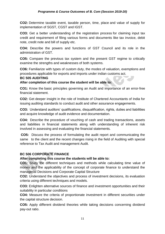**CO2:** Determine taxable event, taxable person, time, place and value of supply for implementation of SGST, CGST and IGST.

**CO3:** Get a better understanding of the registration process for claiming input tax credit and requirement of filing various forms and documents like tax invoice, debit note, credit note and bill of supply etc.

**CO4:** Describe the powers and functions of GST Council and its role in the administration of GST.

**CO5:** Compare the previous tax system and the present GST regime to critically examine the strengths and weaknesses of both systems.

**CO6:** Familiarize with types of custom duty, the modes of valuation, exemptions and procedures applicable for exports and imports under indian customs act.

#### **BC 505 AUDITING**

**After completion of this course the student will be able to:**

**CO1:** Know the basic principles governing an Audit and importance of an error-free financial statement.

**CO2:** Get deeper insight in the role of Institute of Chartered Accountants of India for issuing auditing standards to conduct audit and other assurance engagements.

**CO3:** Understand auditors' qualifications, disqualification, rights, duties and liabilities and acquire knowledge of audit evidence and documentation.

**CO4:** Describe the procedure of vouching of cash and trading transactions, assets and liabilities in financial statements along with understanding of inherent risk involved in assessing and evaluating the financial statements.

**CO5:** Discuss the process of formulating the audit report and communicating the same to the client and the recent changes rising in the field of Auditing with special reference to Tax Audit and management Audit.

#### **BC 506 CORPORATE FINANCE**

#### **After completing this course the students will be able to:**

**CO1:** Study the different techniques and methods while calculating time value of money and the applicability of the concept of corporate finance to understand the managerial Decisions and Corporate Capital Structure

**CO2:** Understand the objectives and process of investment decisions, its evaluation criteria using different techniques and models.

**CO3:** Enlighten alternative sources of finance and investment opportunities and their suitability in particular conditions

**CO4:** Measure the criteria of proportionate investment in different securities under the capital structure decision.

**CO5:** Apply different dividend theories while taking decisions concerning dividend pay-out ratio.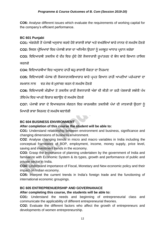**CO6:** Analyse different issues which evaluate the requirements of working capital for the company's efficient performance.

#### **BC 601 Punjabi**

CO1: ਅੰਗਰੇਜ਼ੀ ਤੋਂ ਪੰਜਾਬੀ ਅਨਵਾਦ ਕਰਦੇ ਹੋਏ ਭਾਸ਼ਾਈ ਸਾਂਝਾਂ ਅਤੇ ਵਖਰੇਵਿਆਂ ਬਾਰੇ ਜਾਨਣ ਦੇ ਸਮਰੱਥ ਹੋਣਗੇ

**CO2:** ਹਸਵਲ ਪ੍ਰੀਹਖਆਵਾਂ ਹਵਚ ਪ੍ੰ ਜਾਬੀ ਭਾਸ਼ਾ ਦਾ ਅਹਿਐਨ ਉਿਨਾਂ ਨ ੰ ਮਜਬ ਤ ਆਿਾਰ ਪ੍ਰਦਾਨ ਕਰੇਗਾ

CO3: ਵਿਦਿਆਰਥੀ ਤਕਨੀਕ ਦੇ ਦੌਰ ਵਿਚ ਹੁੰਦੇ ਹੋਏ ਲੋਕਧਾਰਾਈ ਰੁਪਾਂਤਰਣ ਦੇ ਬੋਧ ਬਾਰੇ ਗਿਆਨ ਹਾਸਿਲ ਕਰਨਗੇ

**CO4:** ਹਵਹਦਆਰਥੀਆਂ ਹਵਚ ਅਨੁਵਾਦ ਰਾਿੀਂ ਬਿੁ-ਭਾਸ਼ਾਈ ਯੋਗਤਾ ਦਾ ਹਨਰਮਾਣ

CO5: ਵਿਦਿਆਰਥੀ ਪੰਜਾਬ ਦੀ ਲੋਕਧਾਰਾ/ਸਭਿਆਚਾਰ ਬਾਰੇ ਪ੍ਰਪਤ ਗਿਆਨ ਰਾਹੀਂ ਆਪਣੀਆਂ ਪਰੰਪਰਾਵਾਂ ਦਾ

ਸਮਕਾਲ ਨਾਲ ਵਰ ਮੇਚ ਕੇ ਮਲਾਂਕਣ ਕਰਨ ਦੇ ਸਮਰੱਥ ਹੋਣਗੇ

CO6: ਵਿਦਿਆਰਥੀ ਮੀਡੀਆ ਤੇ ਤਕਨੀਕ ਰਾਹੀਂ ਲੋਕਧਾਰਾਈ ਅੰਸ਼ਾਂ ਦੀ ਕੀਤੀ ਜਾ ਰਹੀ ਪੇਸ਼ਕਾਰੀ ਸਬੰਧੀ ਪੱਖ

ਤੇਵਿਪੱਖ ਵਿਚ ਆਪਣੇ ਵਿਚਾਰ ਬਣਾਉਣ ਦੇ ਸਮਰੱਥ ਹੋਣਗੇ

CO7: ਪੰਜਾਬੀ ਭਾਸ਼ਾ ਦੇ ਵਿਆਕਰਨਕ ਸੰਗਠਨ ਵਿਚ ਕਾਰਜਸ਼ੀਲ ਤਕਨੀਕੀ ਪੱਖਾਂ ਦੀ ਜਾਣਕਾਰੀ ਉਹਨਾਂ ਨੂੰ

ਮਿਆਰੀ ਭਾਸ਼ਾ ਸਿਰਜਣ ਦੇ ਸਮਰੱਥ ਬਣਾਏਗੀ

#### **BC 604 BUSINESS ENVIRONMENT**

#### **After completion of this course the student will be able to:**

**CO1:** Understand relationship between environment and business, significance and changing dimensions of business environment.

**CO2**: Analyse changing trends in micro and macro variables in India including the conceptual framework of BOP, employment, income, money supply, price level, saving and investment trends in the economy.

**CO3:** Grasp the importance of planning undertaken by the government of India and familiarize with Economic System & its types, growth and performance of public and private sector in India.

**CO4:** Understand importance of Fiscal, Monetary and New economic policy and their impact on Indian economy.

**CO5:** Interpret the current trends in India's foreign trade and the functioning of international economic groupings.

#### **BC 605 ENTREPRENUERSHIP AND GOVERNANACE**

#### **After completing this course, the students will be able to:**

**CO1:** Understand the needs and beginning of entrepreneurial class and communicate the applicability of different entrepreneurial theories.

**CO2:** Evaluate the different factors who affect the growth of entrepreneurs and developments of women entrepreneurship.